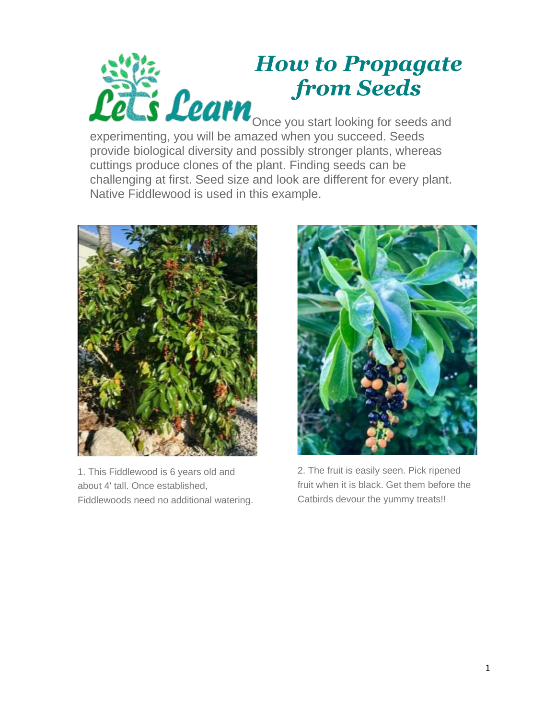

## *How to Propagate from Seeds*

Once you start looking for seeds and experimenting, you will be amazed when you succeed. Seeds provide biological diversity and possibly stronger plants, whereas cuttings produce clones of the plant. Finding seeds can be challenging at first. Seed size and look are different for every plant. Native Fiddlewood is used in this example.



1. This Fiddlewood is 6 years old and about 4' tall. Once established, Fiddlewoods need no additional watering.



2. The fruit is easily seen. Pick ripened fruit when it is black. Get them before the Catbirds devour the yummy treats!!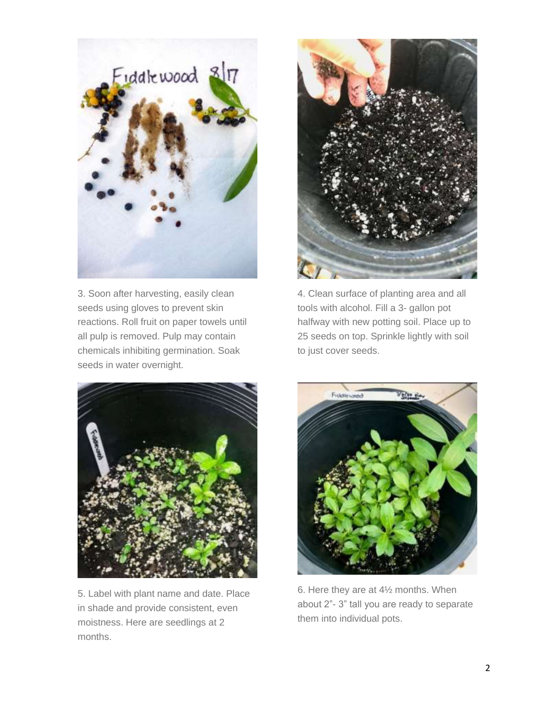

3. Soon after harvesting, easily clean seeds using gloves to prevent skin reactions. Roll fruit on paper towels until all pulp is removed. Pulp may contain chemicals inhibiting germination. Soak seeds in water overnight.



4. Clean surface of planting area and all tools with alcohol. Fill a 3- gallon pot halfway with new potting soil. Place up to 25 seeds on top. Sprinkle lightly with soil to just cover seeds.



5. Label with plant name and date. Place in shade and provide consistent, even moistness. Here are seedlings at 2 months.



6. Here they are at 4½ months. When about 2"- 3" tall you are ready to separate them into individual pots.